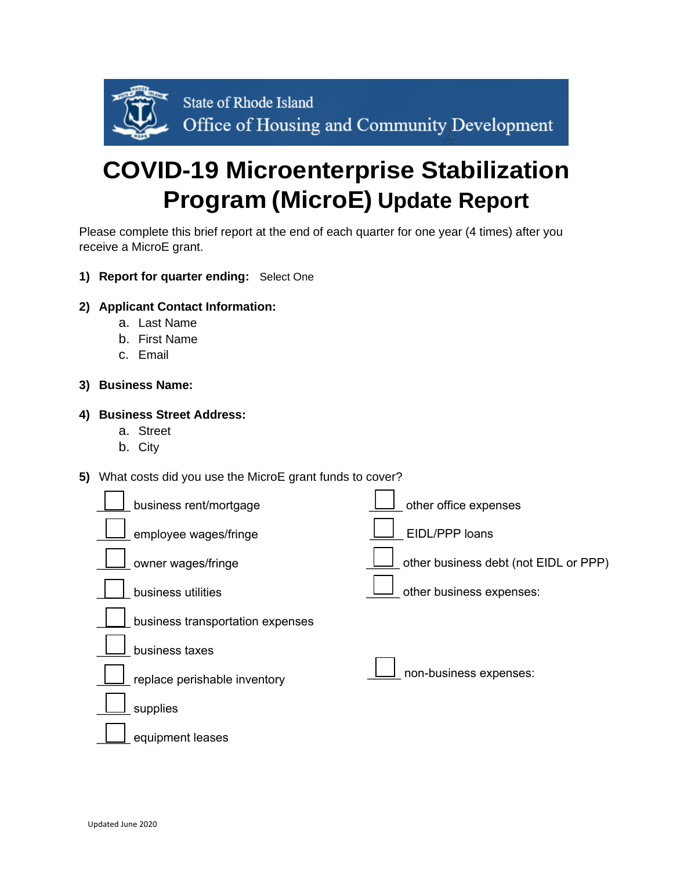

# **COVID-19 Microenterprise Stabilization Program (MicroE) Update Report**

Please complete this brief report at the end of each quarter for one year (4 times) after you receive a MicroE grant.

**1) Report for quarter ending:** Select One

### **2) Applicant Contact Information:**

- a. Last Name
- b. First Name
- c. Email

### **3) Business Name:**

#### **4) Business Street Address:**

- a. Street
- b. City

## **5)** What costs did you use the MicroE grant funds to cover?

| business rent/mortgage           | other office expenses                 |
|----------------------------------|---------------------------------------|
| employee wages/fringe            | EIDL/PPP loans                        |
| owner wages/fringe               | other business debt (not EIDL or PPP) |
| business utilities               | other business expenses:              |
| business transportation expenses |                                       |
| business taxes                   |                                       |
| replace perishable inventory     | non-business expenses:                |
| supplies                         |                                       |
| equipment leases                 |                                       |